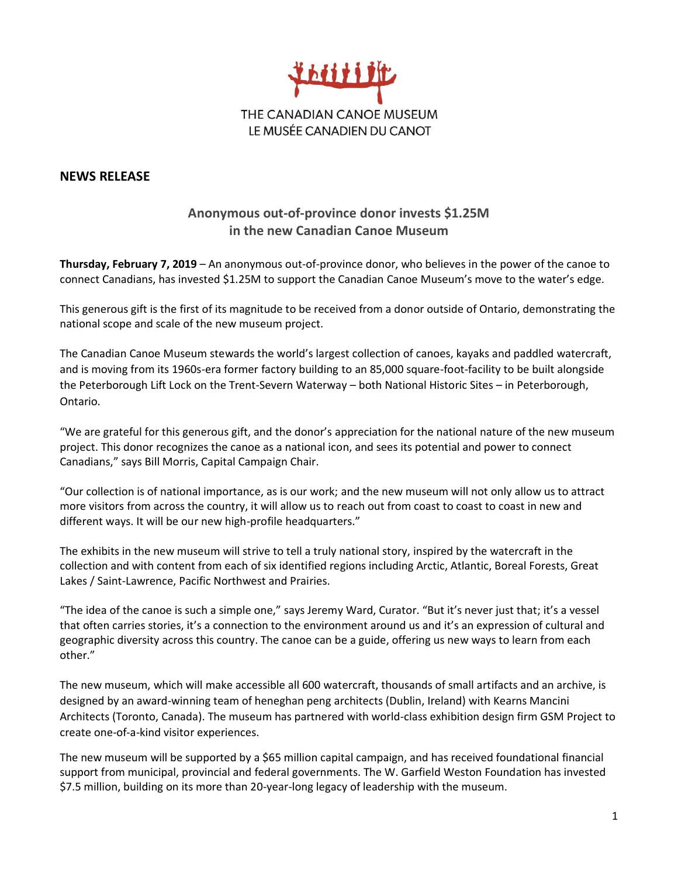

## **NEWS RELEASE**

## **Anonymous out-of-province donor invests \$1.25M in the new Canadian Canoe Museum**

**Thursday, February 7, 2019** – An anonymous out-of-province donor, who believes in the power of the canoe to connect Canadians, has invested \$1.25M to support the Canadian Canoe Museum's move to the water's edge.

This generous gift is the first of its magnitude to be received from a donor outside of Ontario, demonstrating the national scope and scale of the new museum project.

The Canadian Canoe Museum stewards the world's largest collection of canoes, kayaks and paddled watercraft, and is moving from its 1960s-era former factory building to an 85,000 square-foot-facility to be built alongside the Peterborough Lift Lock on the Trent-Severn Waterway – both National Historic Sites – in Peterborough, Ontario.

"We are grateful for this generous gift, and the donor's appreciation for the national nature of the new museum project. This donor recognizes the canoe as a national icon, and sees its potential and power to connect Canadians," says Bill Morris, Capital Campaign Chair.

"Our collection is of national importance, as is our work; and the new museum will not only allow us to attract more visitors from across the country, it will allow us to reach out from coast to coast to coast in new and different ways. It will be our new high-profile headquarters."

The exhibits in the new museum will strive to tell a truly national story, inspired by the watercraft in the collection and with content from each of six identified regions including Arctic, Atlantic, Boreal Forests, Great Lakes / Saint-Lawrence, Pacific Northwest and Prairies.

"The idea of the canoe is such a simple one," says Jeremy Ward, Curator. "But it's never just that; it's a vessel that often carries stories, it's a connection to the environment around us and it's an expression of cultural and geographic diversity across this country. The canoe can be a guide, offering us new ways to learn from each other."

The new museum, which will make accessible all 600 watercraft, thousands of small artifacts and an archive, is designed by an award-winning team of heneghan peng architects (Dublin, Ireland) with Kearns Mancini Architects (Toronto, Canada). The museum has partnered with world-class exhibition design firm GSM Project to create one-of-a-kind visitor experiences.

The new museum will be supported by a \$65 million capital campaign, and has received foundational financial support from municipal, provincial and federal governments. The W. Garfield Weston Foundation has invested \$7.5 million, building on its more than 20-year-long legacy of leadership with the museum.